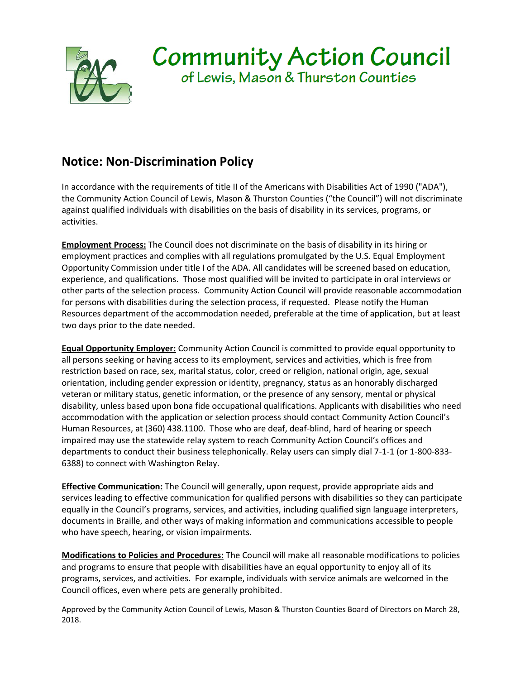

## **Notice: Non-Discrimination Policy**

In accordance with the requirements of title II of the Americans with Disabilities Act of 1990 ("ADA"), the Community Action Council of Lewis, Mason & Thurston Counties ("the Council") will not discriminate against qualified individuals with disabilities on the basis of disability in its services, programs, or activities.

**Employment Process:** The Council does not discriminate on the basis of disability in its hiring or employment practices and complies with all regulations promulgated by the U.S. Equal Employment Opportunity Commission under title I of the ADA. All candidates will be screened based on education, experience, and qualifications. Those most qualified will be invited to participate in oral interviews or other parts of the selection process. Community Action Council will provide reasonable accommodation for persons with disabilities during the selection process, if requested. Please notify the Human Resources department of the accommodation needed, preferable at the time of application, but at least two days prior to the date needed.

**Equal Opportunity Employer:** Community Action Council is committed to provide equal opportunity to all persons seeking or having access to its employment, services and activities, which is free from restriction based on race, sex, marital status, color, creed or religion, national origin, age, sexual orientation, including gender expression or identity, pregnancy, status as an honorably discharged veteran or military status, genetic information, or the presence of any sensory, mental or physical disability, unless based upon bona fide occupational qualifications. Applicants with disabilities who need accommodation with the application or selection process should contact Community Action Council's Human Resources, at (360) 438.1100. Those who are deaf, deaf-blind, hard of hearing or speech impaired may use the statewide relay system to reach Community Action Council's offices and departments to conduct their business telephonically. Relay users can simply dial 7-1-1 (or 1-800-833- 6388) to connect with Washington Relay.

**Effective Communication:** The Council will generally, upon request, provide appropriate aids and services leading to effective communication for qualified persons with disabilities so they can participate equally in the Council's programs, services, and activities, including qualified sign language interpreters, documents in Braille, and other ways of making information and communications accessible to people who have speech, hearing, or vision impairments.

**Modifications to Policies and Procedures:** The Council will make all reasonable modifications to policies and programs to ensure that people with disabilities have an equal opportunity to enjoy all of its programs, services, and activities. For example, individuals with service animals are welcomed in the Council offices, even where pets are generally prohibited.

Approved by the Community Action Council of Lewis, Mason & Thurston Counties Board of Directors on March 28, 2018.